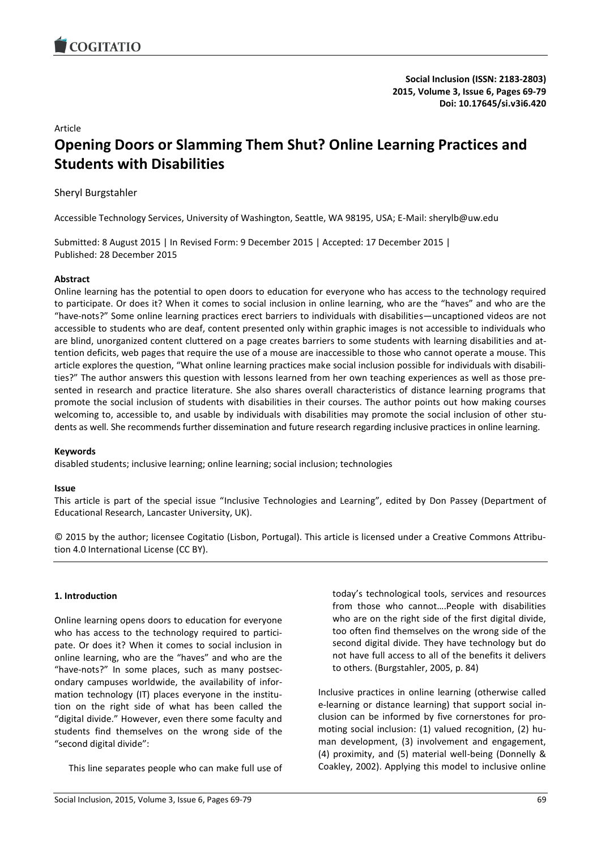

**Social Inclusion (ISSN: 2183-2803) 2015, Volume 3, Issue 6, Pages 69-79 Doi: 10.17645/si.v3i6.420**

#### Article

# **Opening Doors or Slamming Them Shut? Online Learning Practices and Students with Disabilities**

# Sheryl Burgstahler

Accessible Technology Services, University of Washington, Seattle, WA 98195, USA; E-Mail: sherylb@uw.edu

Submitted: 8 August 2015 | In Revised Form: 9 December 2015 | Accepted: 17 December 2015 | Published: 28 December 2015

#### **Abstract**

Online learning has the potential to open doors to education for everyone who has access to the technology required to participate. Or does it? When it comes to social inclusion in online learning, who are the "haves" and who are the "have-nots?" Some online learning practices erect barriers to individuals with disabilities—uncaptioned videos are not accessible to students who are deaf, content presented only within graphic images is not accessible to individuals who are blind, unorganized content cluttered on a page creates barriers to some students with learning disabilities and attention deficits, web pages that require the use of a mouse are inaccessible to those who cannot operate a mouse. This article explores the question, "What online learning practices make social inclusion possible for individuals with disabilities?" The author answers this question with lessons learned from her own teaching experiences as well as those presented in research and practice literature. She also shares overall characteristics of distance learning programs that promote the social inclusion of students with disabilities in their courses. The author points out how making courses welcoming to, accessible to, and usable by individuals with disabilities may promote the social inclusion of other students as well. She recommends further dissemination and future research regarding inclusive practices in online learning.

#### **Keywords**

disabled students; inclusive learning; online learning; social inclusion; technologies

#### **Issue**

This article is part of the special issue "Inclusive Technologies and Learning", edited by Don Passey (Department of Educational Research, Lancaster University, UK).

© 2015 by the author; licensee Cogitatio (Lisbon, Portugal). This article is licensed under a Creative Commons Attribution 4.0 International License (CC BY).

## **1. Introduction**

Online learning opens doors to education for everyone who has access to the technology required to participate. Or does it? When it comes to social inclusion in online learning, who are the "haves" and who are the "have-nots?" In some places, such as many postsecondary campuses worldwide, the availability of information technology (IT) places everyone in the institution on the right side of what has been called the "digital divide." However, even there some faculty and students find themselves on the wrong side of the "second digital divide":

This line separates people who can make full use of

today's technological tools, services and resources from those who cannot….People with disabilities who are on the right side of the first digital divide, too often find themselves on the wrong side of the second digital divide. They have technology but do not have full access to all of the benefits it delivers to others. (Burgstahler, 2005, p. 84)

Inclusive practices in online learning (otherwise called e-learning or distance learning) that support social inclusion can be informed by five cornerstones for promoting social inclusion: (1) valued recognition, (2) human development, (3) involvement and engagement, (4) proximity, and (5) material well-being (Donnelly & Coakley, 2002). Applying this model to inclusive online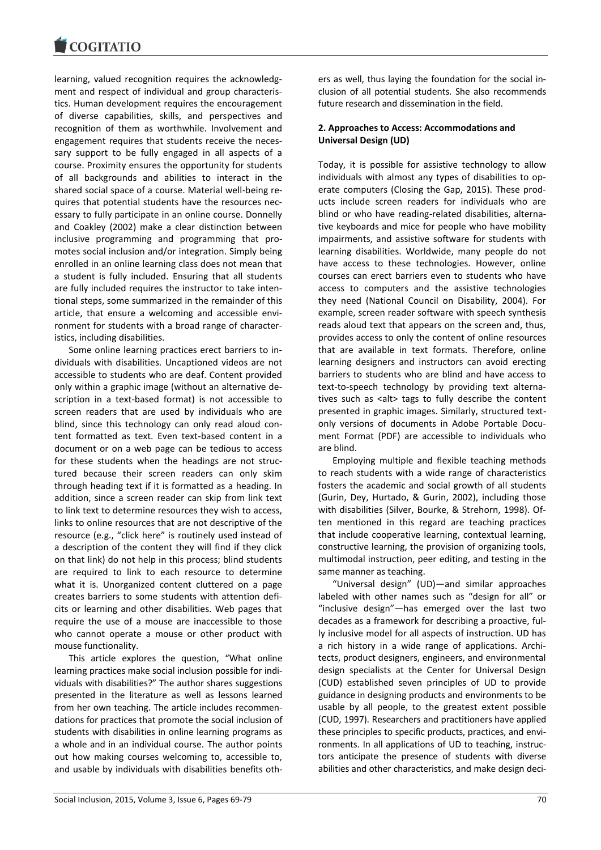

learning, valued recognition requires the acknowledgment and respect of individual and group characteristics. Human development requires the encouragement of diverse capabilities, skills, and perspectives and recognition of them as worthwhile. Involvement and engagement requires that students receive the necessary support to be fully engaged in all aspects of a course. Proximity ensures the opportunity for students of all backgrounds and abilities to interact in the shared social space of a course. Material well-being requires that potential students have the resources necessary to fully participate in an online course. Donnelly and Coakley (2002) make a clear distinction between inclusive programming and programming that promotes social inclusion and/or integration. Simply being enrolled in an online learning class does not mean that a student is fully included. Ensuring that all students are fully included requires the instructor to take intentional steps, some summarized in the remainder of this article, that ensure a welcoming and accessible environment for students with a broad range of characteristics, including disabilities.

Some online learning practices erect barriers to individuals with disabilities. Uncaptioned videos are not accessible to students who are deaf. Content provided only within a graphic image (without an alternative description in a text-based format) is not accessible to screen readers that are used by individuals who are blind, since this technology can only read aloud content formatted as text. Even text-based content in a document or on a web page can be tedious to access for these students when the headings are not structured because their screen readers can only skim through heading text if it is formatted as a heading. In addition, since a screen reader can skip from link text to link text to determine resources they wish to access, links to online resources that are not descriptive of the resource (e.g., "click here" is routinely used instead of a description of the content they will find if they click on that link) do not help in this process; blind students are required to link to each resource to determine what it is. Unorganized content cluttered on a page creates barriers to some students with attention deficits or learning and other disabilities. Web pages that require the use of a mouse are inaccessible to those who cannot operate a mouse or other product with mouse functionality.

This article explores the question, "What online learning practices make social inclusion possible for individuals with disabilities?" The author shares suggestions presented in the literature as well as lessons learned from her own teaching. The article includes recommendations for practices that promote the social inclusion of students with disabilities in online learning programs as a whole and in an individual course. The author points out how making courses welcoming to, accessible to, and usable by individuals with disabilities benefits others as well, thus laying the foundation for the social inclusion of all potential students. She also recommends future research and dissemination in the field.

## **2. Approaches to Access: Accommodations and Universal Design (UD)**

Today, it is possible for assistive technology to allow individuals with almost any types of disabilities to operate computers (Closing the Gap, 2015). These products include screen readers for individuals who are blind or who have reading-related disabilities, alternative keyboards and mice for people who have mobility impairments, and assistive software for students with learning disabilities. Worldwide, many people do not have access to these technologies. However, online courses can erect barriers even to students who have access to computers and the assistive technologies they need (National Council on Disability, 2004). For example, screen reader software with speech synthesis reads aloud text that appears on the screen and, thus, provides access to only the content of online resources that are available in text formats. Therefore, online learning designers and instructors can avoid erecting barriers to students who are blind and have access to text-to-speech technology by providing text alternatives such as <alt> tags to fully describe the content presented in graphic images. Similarly, structured textonly versions of documents in Adobe Portable Document Format (PDF) are accessible to individuals who are blind.

Employing multiple and flexible teaching methods to reach students with a wide range of characteristics fosters the academic and social growth of all students (Gurin, Dey, Hurtado, & Gurin, 2002), including those with disabilities (Silver, Bourke, & Strehorn, 1998). Often mentioned in this regard are teaching practices that include cooperative learning, contextual learning, constructive learning, the provision of organizing tools, multimodal instruction, peer editing, and testing in the same manner as teaching.

"Universal design" (UD)—and similar approaches labeled with other names such as "design for all" or "inclusive design"—has emerged over the last two decades as a framework for describing a proactive, fully inclusive model for all aspects of instruction. UD has a rich history in a wide range of applications. Architects, product designers, engineers, and environmental design specialists at the Center for Universal Design (CUD) established seven principles of UD to provide guidance in designing products and environments to be usable by all people, to the greatest extent possible (CUD, 1997). Researchers and practitioners have applied these principles to specific products, practices, and environments. In all applications of UD to teaching, instructors anticipate the presence of students with diverse abilities and other characteristics, and make design deci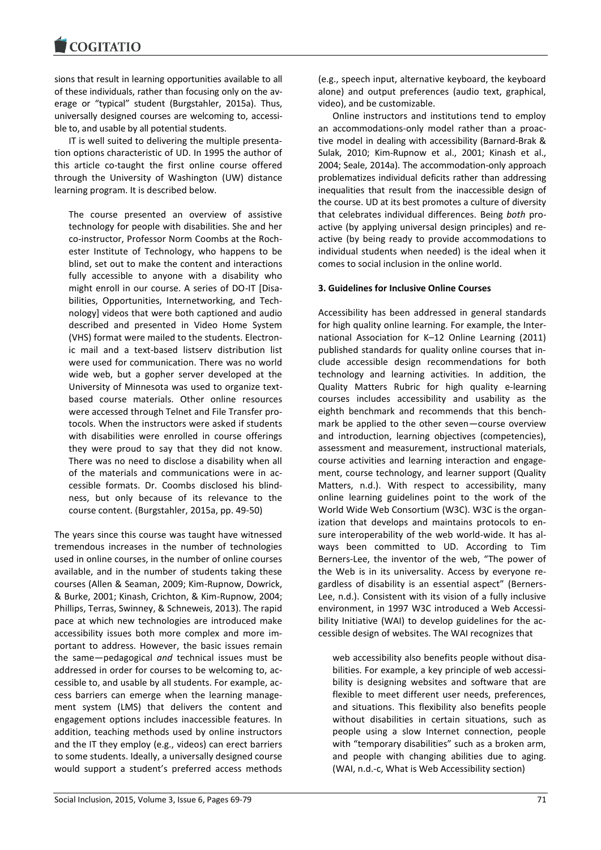sions that result in learning opportunities available to all of these individuals, rather than focusing only on the average or "typical" student (Burgstahler, 2015a). Thus, universally designed courses are welcoming to, accessible to, and usable by all potential students.

IT is well suited to delivering the multiple presentation options characteristic of UD. In 1995 the author of this article co-taught the first online course offered through the University of Washington (UW) distance learning program. It is described below.

The course presented an overview of assistive technology for people with disabilities. She and her co-instructor, Professor Norm Coombs at the Rochester Institute of Technology, who happens to be blind, set out to make the content and interactions fully accessible to anyone with a disability who might enroll in our course. A series of DO-IT [Disabilities, Opportunities, Internetworking, and Technology] videos that were both captioned and audio described and presented in Video Home System (VHS) format were mailed to the students. Electronic mail and a text-based listserv distribution list were used for communication. There was no world wide web, but a gopher server developed at the University of Minnesota was used to organize textbased course materials. Other online resources were accessed through Telnet and File Transfer protocols. When the instructors were asked if students with disabilities were enrolled in course offerings they were proud to say that they did not know. There was no need to disclose a disability when all of the materials and communications were in accessible formats. Dr. Coombs disclosed his blindness, but only because of its relevance to the course content. (Burgstahler, 2015a, pp. 49-50)

The years since this course was taught have witnessed tremendous increases in the number of technologies used in online courses, in the number of online courses available, and in the number of students taking these courses (Allen & Seaman, 2009; Kim-Rupnow, Dowrick, & Burke, 2001; Kinash, Crichton, & Kim-Rupnow, 2004; Phillips, Terras, Swinney, & Schneweis, 2013). The rapid pace at which new technologies are introduced make accessibility issues both more complex and more important to address. However, the basic issues remain the same—pedagogical *and* technical issues must be addressed in order for courses to be welcoming to, accessible to, and usable by all students. For example, access barriers can emerge when the learning management system (LMS) that delivers the content and engagement options includes inaccessible features. In addition, teaching methods used by online instructors and the IT they employ (e.g., videos) can erect barriers to some students. Ideally, a universally designed course would support a student's preferred access methods

(e.g., speech input, alternative keyboard, the keyboard alone) and output preferences (audio text, graphical, video), and be customizable.

Online instructors and institutions tend to employ an accommodations-only model rather than a proactive model in dealing with accessibility (Barnard-Brak & Sulak, 2010; Kim-Rupnow et al., 2001; Kinash et al., 2004; Seale, 2014a). The accommodation-only approach problematizes individual deficits rather than addressing inequalities that result from the inaccessible design of the course. UD at its best promotes a culture of diversity that celebrates individual differences. Being *both* proactive (by applying universal design principles) and reactive (by being ready to provide accommodations to individual students when needed) is the ideal when it comes to social inclusion in the online world.

## **3. Guidelines for Inclusive Online Courses**

Accessibility has been addressed in general standards for high quality online learning. For example, the International Association for K–12 Online Learning (2011) published standards for quality online courses that include accessible design recommendations for both technology and learning activities. In addition, the Quality Matters Rubric for high quality e-learning courses includes accessibility and usability as the eighth benchmark and recommends that this benchmark be applied to the other seven—course overview and introduction, learning objectives (competencies), assessment and measurement, instructional materials, course activities and learning interaction and engagement, course technology, and learner support (Quality Matters, n.d.). With respect to accessibility, many online learning guidelines point to the work of the World Wide Web Consortium (W3C). W3C is the organization that develops and maintains protocols to ensure interoperability of the web world-wide. It has always been committed to UD. According to Tim Berners-Lee, the inventor of the web, "The power of the Web is in its universality. Access by everyone regardless of disability is an essential aspect" (Berners-Lee, n.d.). Consistent with its vision of a fully inclusive environment, in 1997 W3C introduced a Web Accessibility Initiative (WAI) to develop guidelines for the accessible design of websites. The WAI recognizes that

web accessibility also benefits people without disabilities. For example, a key principle of web accessibility is designing websites and software that are flexible to meet different user needs, preferences, and situations. This flexibility also benefits people without disabilities in certain situations, such as people using a slow Internet connection, people with "temporary disabilities" such as a broken arm, and people with changing abilities due to aging. (WAI, n.d.-c, What is Web Accessibility section)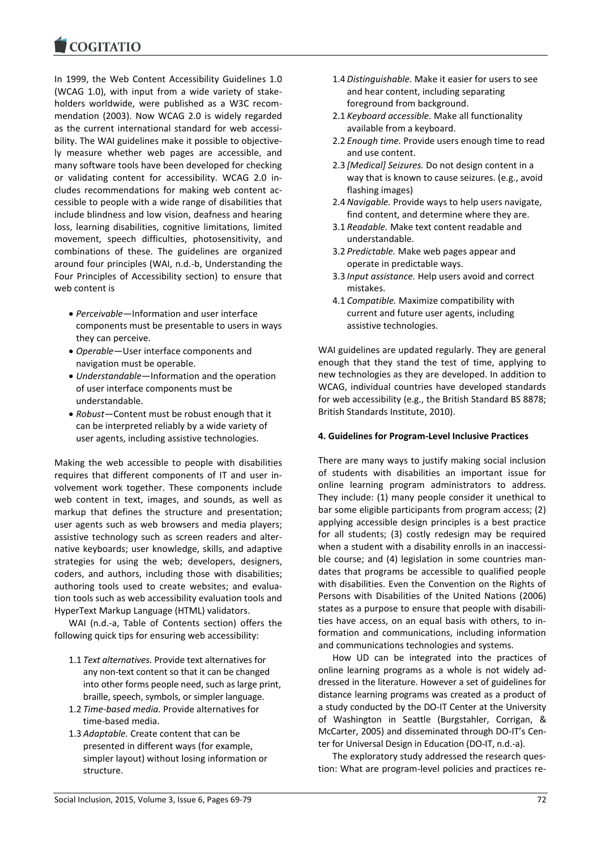In 1999, the Web Content Accessibility Guidelines 1.0 (WCAG 1.0), with input from a wide variety of stakeholders worldwide, were published as a W3C recommendation (2003). Now WCAG 2.0 is widely regarded as the current international standard for web accessibility. The WAI guidelines make it possible to objectively measure whether web pages are accessible, and many software tools have been developed for checking or validating content for accessibility. WCAG 2.0 includes recommendations for making web content accessible to people with a wide range of disabilities that include blindness and low vision, deafness and hearing loss, learning disabilities, cognitive limitations, limited movement, speech difficulties, photosensitivity, and combinations of these. The guidelines are organized around four principles (WAI, n.d.-b, Understanding the Four Principles of Accessibility section) to ensure that web content is

- *Perceivable*—Information and user interface components must be presentable to users in ways they can perceive.
- *Operable*—User interface components and navigation must be operable.
- *Understandable*—Information and the operation of user interface components must be understandable.
- *Robust*—Content must be robust enough that it can be interpreted reliably by a wide variety of user agents, including assistive technologies.

Making the web accessible to people with disabilities requires that different components of IT and user involvement work together. These components include web content in text, images, and sounds, as well as markup that defines the structure and presentation; user agents such as web browsers and media players; assistive technology such as screen readers and alternative keyboards; user knowledge, skills, and adaptive strategies for using the web; developers, designers, coders, and authors, including those with disabilities; authoring tools used to create websites; and evaluation tools such as web accessibility evaluation tools and HyperText Markup Language (HTML) validators.

WAI (n.d.-a, Table of Contents section) offers the following quick tips for ensuring web accessibility:

- 1.1 *Text alternatives.* Provide text alternatives for any non-text content so that it can be changed into other forms people need, such as large print, braille, speech, symbols, or simpler language.
- 1.2 *Time-based media.* Provide alternatives for time-based media.
- 1.3 *Adaptable.* Create content that can be presented in different ways (for example, simpler layout) without losing information or structure.
- 1.4 *Distinguishable.* Make it easier for users to see and hear content, including separating foreground from background.
- 2.1 *Keyboard accessible.* Make all functionality available from a keyboard.
- 2.2 *Enough time.* Provide users enough time to read and use content.
- 2.3 *[Medical] Seizures.* Do not design content in a way that is known to cause seizures. (e.g., avoid flashing images)
- 2.4 *Navigable.* Provide ways to help users navigate, find content, and determine where they are.
- 3.1 *Readable.* Make text content readable and understandable.
- 3.2 *Predictable.* Make web pages appear and operate in predictable ways.
- 3.3 *Input assistance.* Help users avoid and correct mistakes.
- 4.1 *Compatible.* Maximize compatibility with current and future user agents, including assistive technologies.

WAI guidelines are updated regularly. They are general enough that they stand the test of time, applying to new technologies as they are developed. In addition to WCAG, individual countries have developed standards for web accessibility (e.g., the British Standard BS 8878; British Standards Institute, 2010).

## **4. Guidelines for Program-Level Inclusive Practices**

There are many ways to justify making social inclusion of students with disabilities an important issue for online learning program administrators to address. They include: (1) many people consider it unethical to bar some eligible participants from program access; (2) applying accessible design principles is a best practice for all students; (3) costly redesign may be required when a student with a disability enrolls in an inaccessible course; and (4) legislation in some countries mandates that programs be accessible to qualified people with disabilities. Even the Convention on the Rights of Persons with Disabilities of the United Nations (2006) states as a purpose to ensure that people with disabilities have access, on an equal basis with others, to information and communications, including information and communications technologies and systems.

How UD can be integrated into the practices of online learning programs as a whole is not widely addressed in the literature. However a set of guidelines for distance learning programs was created as a product of a study conducted by the DO-IT Center at the University of Washington in Seattle (Burgstahler, Corrigan, & McCarter, 2005) and disseminated through DO-IT's Center for Universal Design in Education (DO-IT, n.d.-a).

The exploratory study addressed the research question: What are program-level policies and practices re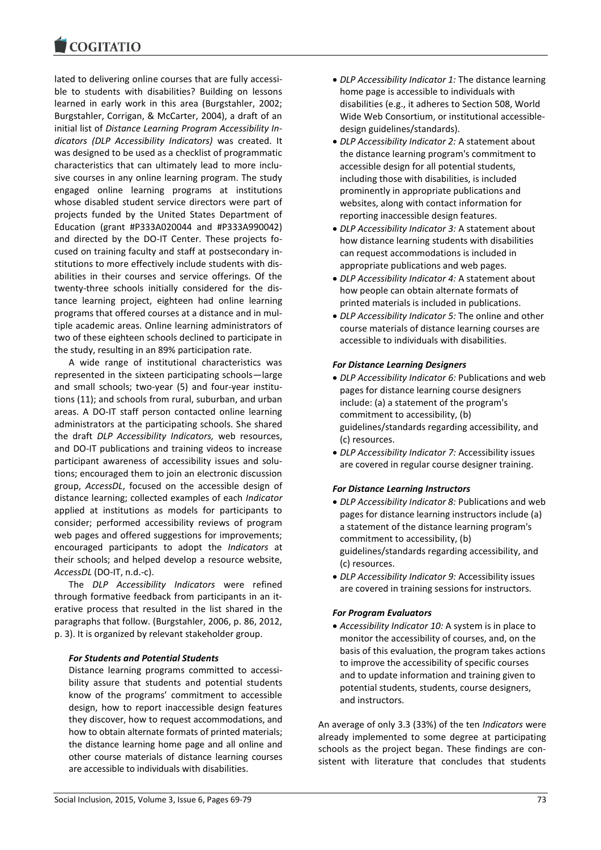lated to delivering online courses that are fully accessible to students with disabilities? Building on lessons learned in early work in this area (Burgstahler, 2002; Burgstahler, Corrigan, & McCarter, 2004), a draft of an initial list of *Distance Learning Program Accessibility Indicators (DLP Accessibility Indicators)* was created. It was designed to be used as a checklist of programmatic characteristics that can ultimately lead to more inclusive courses in any online learning program. The study engaged online learning programs at institutions whose disabled student service directors were part of projects funded by the United States Department of Education (grant #P333A020044 and #P333A990042) and directed by the DO-IT Center. These projects focused on training faculty and staff at postsecondary institutions to more effectively include students with disabilities in their courses and service offerings. Of the twenty-three schools initially considered for the distance learning project, eighteen had online learning programs that offered courses at a distance and in multiple academic areas. Online learning administrators of two of these eighteen schools declined to participate in the study, resulting in an 89% participation rate.

A wide range of institutional characteristics was represented in the sixteen participating schools—large and small schools; two-year (5) and four-year institutions (11); and schools from rural, suburban, and urban areas. A DO-IT staff person contacted online learning administrators at the participating schools. She shared the draft *DLP Accessibility Indicators,* web resources, and DO-IT publications and training videos to increase participant awareness of accessibility issues and solutions; encouraged them to join an electronic discussion group, *AccessDL*, focused on the accessible design of distance learning; collected examples of each *Indicator* applied at institutions as models for participants to consider; performed accessibility reviews of program web pages and offered suggestions for improvements; encouraged participants to adopt the *Indicators* at their schools; and helped develop a resource website, *AccessDL* (DO-IT, n.d.-c).

The *DLP Accessibility Indicators* were refined through formative feedback from participants in an iterative process that resulted in the list shared in the paragraphs that follow. (Burgstahler, 2006, p. 86, 2012, p. 3). It is organized by relevant stakeholder group.

## *For Students and Potential Students*

Distance learning programs committed to accessibility assure that students and potential students know of the programs' commitment to accessible design, how to report inaccessible design features they discover, how to request accommodations, and how to obtain alternate formats of printed materials; the distance learning home page and all online and other course materials of distance learning courses are accessible to individuals with disabilities.

- *DLP Accessibility Indicator 1:* The distance learning home page is accessible to individuals with disabilities (e.g., it adheres to Section 508, World Wide Web Consortium, or institutional accessibledesign guidelines/standards).
- *DLP Accessibility Indicator 2:* A statement about the distance learning program's commitment to accessible design for all potential students, including those with disabilities, is included prominently in appropriate publications and websites, along with contact information for reporting inaccessible design features.
- *DLP Accessibility Indicator 3:* A statement about how distance learning students with disabilities can request accommodations is included in appropriate publications and web pages.
- *DLP Accessibility Indicator 4:* A statement about how people can obtain alternate formats of printed materials is included in publications.
- *DLP Accessibility Indicator 5:* The online and other course materials of distance learning courses are accessible to individuals with disabilities.

## *For Distance Learning Designers*

- *DLP Accessibility Indicator 6:* Publications and web pages for distance learning course designers include: (a) a statement of the program's commitment to accessibility, (b) guidelines/standards regarding accessibility, and (c) resources.
- *DLP Accessibility Indicator 7:* Accessibility issues are covered in regular course designer training.

## *For Distance Learning Instructors*

- *DLP Accessibility Indicator 8:* Publications and web pages for distance learning instructors include (a) a statement of the distance learning program's commitment to accessibility, (b) guidelines/standards regarding accessibility, and (c) resources.
- *DLP Accessibility Indicator 9:* Accessibility issues are covered in training sessions for instructors.

## *For Program Evaluators*

 *Accessibility Indicator 10:* A system is in place to monitor the accessibility of courses, and, on the basis of this evaluation, the program takes actions to improve the accessibility of specific courses and to update information and training given to potential students, students, course designers, and instructors.

An average of only 3.3 (33%) of the ten *Indicators* were already implemented to some degree at participating schools as the project began. These findings are consistent with literature that concludes that students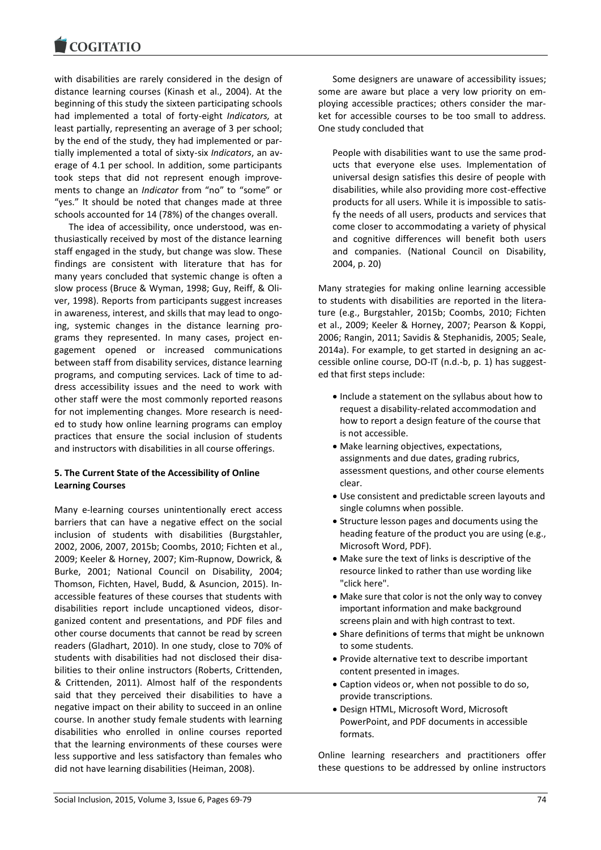with disabilities are rarely considered in the design of distance learning courses (Kinash et al., 2004). At the beginning of this study the sixteen participating schools had implemented a total of forty-eight *Indicators,* at least partially, representing an average of 3 per school; by the end of the study, they had implemented or partially implemented a total of sixty-six *Indicators*, an average of 4.1 per school. In addition, some participants took steps that did not represent enough improvements to change an *Indicator* from "no" to "some" or "yes." It should be noted that changes made at three schools accounted for 14 (78%) of the changes overall.

The idea of accessibility, once understood, was enthusiastically received by most of the distance learning staff engaged in the study, but change was slow. These findings are consistent with literature that has for many years concluded that systemic change is often a slow process (Bruce & Wyman, 1998; Guy, Reiff, & Oliver, 1998). Reports from participants suggest increases in awareness, interest, and skills that may lead to ongoing, systemic changes in the distance learning programs they represented. In many cases, project engagement opened or increased communications between staff from disability services, distance learning programs, and computing services. Lack of time to address accessibility issues and the need to work with other staff were the most commonly reported reasons for not implementing changes*.* More research is needed to study how online learning programs can employ practices that ensure the social inclusion of students and instructors with disabilities in all course offerings.

# **5. The Current State of the Accessibility of Online Learning Courses**

Many e-learning courses unintentionally erect access barriers that can have a negative effect on the social inclusion of students with disabilities (Burgstahler, 2002, 2006, 2007, 2015b; Coombs, 2010; Fichten et al., 2009; Keeler & Horney, 2007; Kim-Rupnow, Dowrick, & Burke, 2001; National Council on Disability, 2004; Thomson, Fichten, Havel, Budd, & Asuncion, 2015). Inaccessible features of these courses that students with disabilities report include uncaptioned videos, disorganized content and presentations, and PDF files and other course documents that cannot be read by screen readers (Gladhart, 2010). In one study, close to 70% of students with disabilities had not disclosed their disabilities to their online instructors (Roberts, Crittenden, & Crittenden, 2011). Almost half of the respondents said that they perceived their disabilities to have a negative impact on their ability to succeed in an online course. In another study female students with learning disabilities who enrolled in online courses reported that the learning environments of these courses were less supportive and less satisfactory than females who did not have learning disabilities (Heiman, 2008).

Some designers are unaware of accessibility issues; some are aware but place a very low priority on employing accessible practices; others consider the market for accessible courses to be too small to address. One study concluded that

People with disabilities want to use the same products that everyone else uses. Implementation of universal design satisfies this desire of people with disabilities, while also providing more cost-effective products for all users. While it is impossible to satisfy the needs of all users, products and services that come closer to accommodating a variety of physical and cognitive differences will benefit both users and companies. (National Council on Disability, 2004, p. 20)

Many strategies for making online learning accessible to students with disabilities are reported in the literature (e.g., Burgstahler, 2015b; Coombs, 2010; Fichten et al., 2009; Keeler & Horney, 2007; Pearson & Koppi, 2006; Rangin, 2011; Savidis & Stephanidis, 2005; Seale, 2014a). For example, to get started in designing an accessible online course, DO-IT (n.d.-b, p. 1) has suggested that first steps include:

- Include a statement on the syllabus about how to request a disability-related accommodation and how to report a design feature of the course that is not accessible.
- Make learning objectives, expectations, assignments and due dates, grading rubrics, assessment questions, and other course elements clear.
- Use consistent and predictable screen layouts and single columns when possible.
- Structure lesson pages and documents using the heading feature of the product you are using (e.g., Microsoft Word, PDF).
- Make sure the text of links is descriptive of the resource linked to rather than use wording like "click here".
- Make sure that color is not the only way to convey important information and make background screens plain and with high contrast to text.
- Share definitions of terms that might be unknown to some students.
- Provide alternative text to describe important content presented in images.
- Caption videos or, when not possible to do so, provide transcriptions.
- Design HTML, Microsoft Word, Microsoft PowerPoint, and PDF documents in accessible formats.

Online learning researchers and practitioners offer these questions to be addressed by online instructors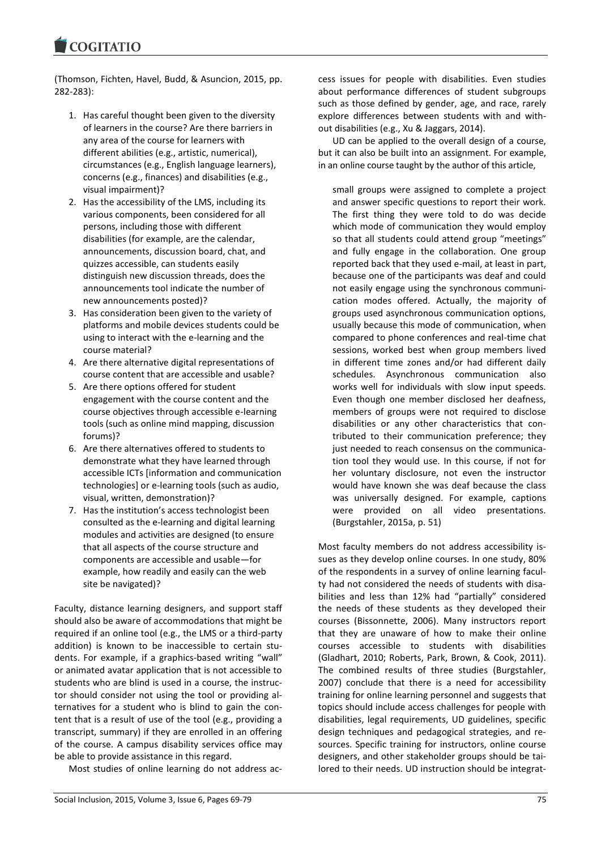(Thomson, Fichten, Havel, Budd, & Asuncion, 2015, pp. 282-283):

- 1. Has careful thought been given to the diversity of learners in the course? Are there barriers in any area of the course for learners with different abilities (e.g., artistic, numerical), circumstances (e.g., English language learners), concerns (e.g., finances) and disabilities (e.g., visual impairment)?
- 2. Has the accessibility of the LMS, including its various components, been considered for all persons, including those with different disabilities (for example, are the calendar, announcements, discussion board, chat, and quizzes accessible, can students easily distinguish new discussion threads, does the announcements tool indicate the number of new announcements posted)?
- 3. Has consideration been given to the variety of platforms and mobile devices students could be using to interact with the e-learning and the course material?
- 4. Are there alternative digital representations of course content that are accessible and usable?
- 5. Are there options offered for student engagement with the course content and the course objectives through accessible e-learning tools (such as online mind mapping, discussion forums)?
- 6. Are there alternatives offered to students to demonstrate what they have learned through accessible ICTs [information and communication technologies] or e-learning tools (such as audio, visual, written, demonstration)?
- 7. Has the institution's access technologist been consulted as the e-learning and digital learning modules and activities are designed (to ensure that all aspects of the course structure and components are accessible and usable—for example, how readily and easily can the web site be navigated)?

Faculty, distance learning designers, and support staff should also be aware of accommodations that might be required if an online tool (e.g., the LMS or a third-party addition) is known to be inaccessible to certain students. For example, if a graphics-based writing "wall" or animated avatar application that is not accessible to students who are blind is used in a course, the instructor should consider not using the tool or providing alternatives for a student who is blind to gain the content that is a result of use of the tool (e.g., providing a transcript, summary) if they are enrolled in an offering of the course. A campus disability services office may be able to provide assistance in this regard.

Most studies of online learning do not address ac-

cess issues for people with disabilities. Even studies about performance differences of student subgroups such as those defined by gender, age, and race, rarely explore differences between students with and without disabilities (e.g., Xu & Jaggars, 2014).

UD can be applied to the overall design of a course, but it can also be built into an assignment. For example, in an online course taught by the author of this article,

small groups were assigned to complete a project and answer specific questions to report their work. The first thing they were told to do was decide which mode of communication they would employ so that all students could attend group "meetings" and fully engage in the collaboration. One group reported back that they used e-mail, at least in part, because one of the participants was deaf and could not easily engage using the synchronous communication modes offered. Actually, the majority of groups used asynchronous communication options, usually because this mode of communication, when compared to phone conferences and real-time chat sessions, worked best when group members lived in different time zones and/or had different daily schedules. Asynchronous communication also works well for individuals with slow input speeds. Even though one member disclosed her deafness, members of groups were not required to disclose disabilities or any other characteristics that contributed to their communication preference; they just needed to reach consensus on the communication tool they would use. In this course, if not for her voluntary disclosure, not even the instructor would have known she was deaf because the class was universally designed. For example, captions were provided on all video presentations. (Burgstahler, 2015a, p. 51)

Most faculty members do not address accessibility issues as they develop online courses. In one study, 80% of the respondents in a survey of online learning faculty had not considered the needs of students with disabilities and less than 12% had "partially" considered the needs of these students as they developed their courses (Bissonnette, 2006). Many instructors report that they are unaware of how to make their online courses accessible to students with disabilities (Gladhart, 2010; Roberts, Park, Brown, & Cook, 2011). The combined results of three studies (Burgstahler, 2007) conclude that there is a need for accessibility training for online learning personnel and suggests that topics should include access challenges for people with disabilities, legal requirements, UD guidelines, specific design techniques and pedagogical strategies, and resources. Specific training for instructors, online course designers, and other stakeholder groups should be tailored to their needs. UD instruction should be integrat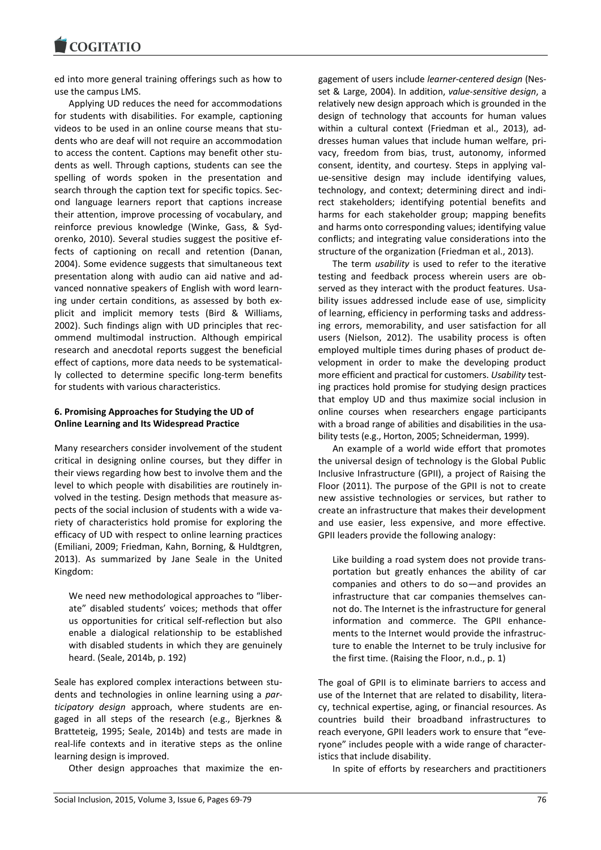ed into more general training offerings such as how to use the campus LMS.

Applying UD reduces the need for accommodations for students with disabilities. For example, captioning videos to be used in an online course means that students who are deaf will not require an accommodation to access the content. Captions may benefit other students as well. Through captions, students can see the spelling of words spoken in the presentation and search through the caption text for specific topics. Second language learners report that captions increase their attention, improve processing of vocabulary, and reinforce previous knowledge (Winke, Gass, & Sydorenko, 2010). Several studies suggest the positive effects of captioning on recall and retention (Danan, 2004). Some evidence suggests that simultaneous text presentation along with audio can aid native and advanced nonnative speakers of English with word learning under certain conditions, as assessed by both explicit and implicit memory tests (Bird & Williams, 2002). Such findings align with UD principles that recommend multimodal instruction. Although empirical research and anecdotal reports suggest the beneficial effect of captions, more data needs to be systematically collected to determine specific long-term benefits for students with various characteristics.

# **6. Promising Approaches for Studying the UD of Online Learning and Its Widespread Practice**

Many researchers consider involvement of the student critical in designing online courses, but they differ in their views regarding how best to involve them and the level to which people with disabilities are routinely involved in the testing. Design methods that measure aspects of the social inclusion of students with a wide variety of characteristics hold promise for exploring the efficacy of UD with respect to online learning practices (Emiliani, 2009; Friedman, Kahn, Borning, & Huldtgren, 2013). As summarized by Jane Seale in the United Kingdom:

We need new methodological approaches to "liberate" disabled students' voices; methods that offer us opportunities for critical self-reflection but also enable a dialogical relationship to be established with disabled students in which they are genuinely heard. (Seale, 2014b, p. 192)

Seale has explored complex interactions between students and technologies in online learning using a *participatory design* approach, where students are engaged in all steps of the research (e.g., Bjerknes & Bratteteig, 1995; Seale, 2014b) and tests are made in real-life contexts and in iterative steps as the online learning design is improved.

Other design approaches that maximize the en-

gagement of users include *learner-centered design* (Nesset & Large, 2004). In addition, *value-sensitive design*, a relatively new design approach which is grounded in the design of technology that accounts for human values within a cultural context (Friedman et al., 2013), addresses human values that include human welfare, privacy, freedom from bias, trust, autonomy, informed consent, identity, and courtesy. Steps in applying value-sensitive design may include identifying values, technology, and context; determining direct and indirect stakeholders; identifying potential benefits and harms for each stakeholder group; mapping benefits and harms onto corresponding values; identifying value conflicts; and integrating value considerations into the structure of the organization (Friedman et al., 2013).

The term *usability* is used to refer to the iterative testing and feedback process wherein users are observed as they interact with the product features. Usability issues addressed include ease of use, simplicity of learning, efficiency in performing tasks and addressing errors, memorability, and user satisfaction for all users (Nielson, 2012). The usability process is often employed multiple times during phases of product development in order to make the developing product more efficient and practical for customers. *Usability* testing practices hold promise for studying design practices that employ UD and thus maximize social inclusion in online courses when researchers engage participants with a broad range of abilities and disabilities in the usability tests (e.g., Horton, 2005; Schneiderman, 1999).

An example of a world wide effort that promotes the universal design of technology is the Global Public Inclusive Infrastructure (GPII), a project of Raising the Floor (2011). The purpose of the GPII is not to create new assistive technologies or services, but rather to create an infrastructure that makes their development and use easier, less expensive, and more effective. GPII leaders provide the following analogy:

Like building a road system does not provide transportation but greatly enhances the ability of car companies and others to do so—and provides an infrastructure that car companies themselves cannot do. The Internet is the infrastructure for general information and commerce. The GPII enhancements to the Internet would provide the infrastructure to enable the Internet to be truly inclusive for the first time. (Raising the Floor, n.d., p. 1)

The goal of GPII is to eliminate barriers to access and use of the Internet that are related to disability, literacy, technical expertise, aging, or financial resources. As countries build their broadband infrastructures to reach everyone, GPII leaders work to ensure that "everyone" includes people with a wide range of characteristics that include disability.

In spite of efforts by researchers and practitioners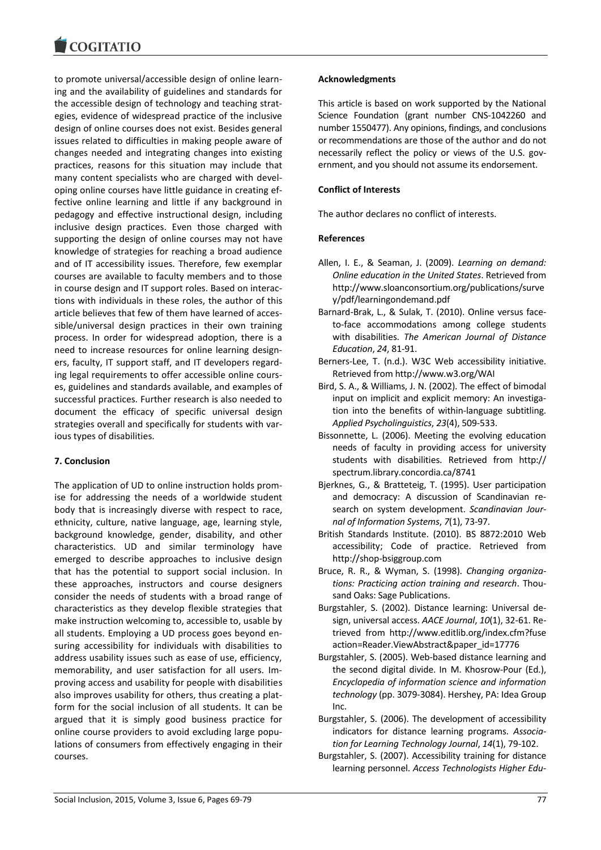to promote universal/accessible design of online learning and the availability of guidelines and standards for the accessible design of technology and teaching strategies, evidence of widespread practice of the inclusive design of online courses does not exist. Besides general issues related to difficulties in making people aware of changes needed and integrating changes into existing practices, reasons for this situation may include that many content specialists who are charged with developing online courses have little guidance in creating effective online learning and little if any background in pedagogy and effective instructional design, including inclusive design practices. Even those charged with supporting the design of online courses may not have knowledge of strategies for reaching a broad audience and of IT accessibility issues. Therefore, few exemplar courses are available to faculty members and to those in course design and IT support roles. Based on interactions with individuals in these roles, the author of this article believes that few of them have learned of accessible/universal design practices in their own training process. In order for widespread adoption, there is a need to increase resources for online learning designers, faculty, IT support staff, and IT developers regarding legal requirements to offer accessible online courses, guidelines and standards available, and examples of successful practices. Further research is also needed to document the efficacy of specific universal design strategies overall and specifically for students with various types of disabilities.

# **7. Conclusion**

The application of UD to online instruction holds promise for addressing the needs of a worldwide student body that is increasingly diverse with respect to race, ethnicity, culture, native language, age, learning style, background knowledge, gender, disability, and other characteristics. UD and similar terminology have emerged to describe approaches to inclusive design that has the potential to support social inclusion. In these approaches, instructors and course designers consider the needs of students with a broad range of characteristics as they develop flexible strategies that make instruction welcoming to, accessible to, usable by all students. Employing a UD process goes beyond ensuring accessibility for individuals with disabilities to address usability issues such as ease of use, efficiency, memorability, and user satisfaction for all users. Improving access and usability for people with disabilities also improves usability for others, thus creating a platform for the social inclusion of all students. It can be argued that it is simply good business practice for online course providers to avoid excluding large populations of consumers from effectively engaging in their courses.

## **Acknowledgments**

This article is based on work supported by the National Science Foundation (grant number CNS-1042260 and number 1550477). Any opinions, findings, and conclusions or recommendations are those of the author and do not necessarily reflect the policy or views of the U.S. government, and you should not assume its endorsement.

# **Conflict of Interests**

The author declares no conflict of interests.

# **References**

- Allen, I. E., & Seaman, J. (2009). *Learning on demand: Online education in the United States*. Retrieved from http://www.sloanconsortium.org/publications/surve y/pdf/learningondemand.pdf
- Barnard-Brak, L., & Sulak, T. (2010). Online versus faceto-face accommodations among college students with disabilities. *The American Journal of Distance Education*, *24*, 81-91.
- Berners-Lee, T. (n.d.). W3C Web accessibility initiative. Retrieved from http://www.w3.org/WAI
- Bird, S. A., & Williams, J. N. (2002). The effect of bimodal input on implicit and explicit memory: An investigation into the benefits of within-language subtitling. *Applied Psycholinguistics*, *23*(4), 509-533.
- Bissonnette, L. (2006). Meeting the evolving education needs of faculty in providing access for university students with disabilities. Retrieved from http:// spectrum.library.concordia.ca/8741
- Bjerknes, G., & Bratteteig, T. (1995). User participation and democracy: A discussion of Scandinavian research on system development. *Scandinavian Journal of Information Systems*, *7*(1), 73-97.
- British Standards Institute. (2010). BS 8872:2010 Web accessibility; Code of practice. Retrieved from http://shop-bsiggroup.com
- Bruce, R. R., & Wyman, S. (1998). *Changing organizations: Practicing action training and research*. Thousand Oaks: Sage Publications.
- Burgstahler, S. (2002). Distance learning: Universal design, universal access. *AACE Journal*, *10*(1), 32-61. Retrieved from http://www.editlib.org/index.cfm?fuse action=Reader.ViewAbstract&paper\_id=17776
- Burgstahler, S. (2005). Web-based distance learning and the second digital divide. In M. Khosrow-Pour (Ed.), *Encyclopedia of information science and information technology* (pp. 3079-3084). Hershey, PA: Idea Group Inc.
- Burgstahler, S. (2006). The development of accessibility indicators for distance learning programs. *Association for Learning Technology Journal*, *14*(1), 79-102.
- Burgstahler, S. (2007). Accessibility training for distance learning personnel. *Access Technologists Higher Edu-*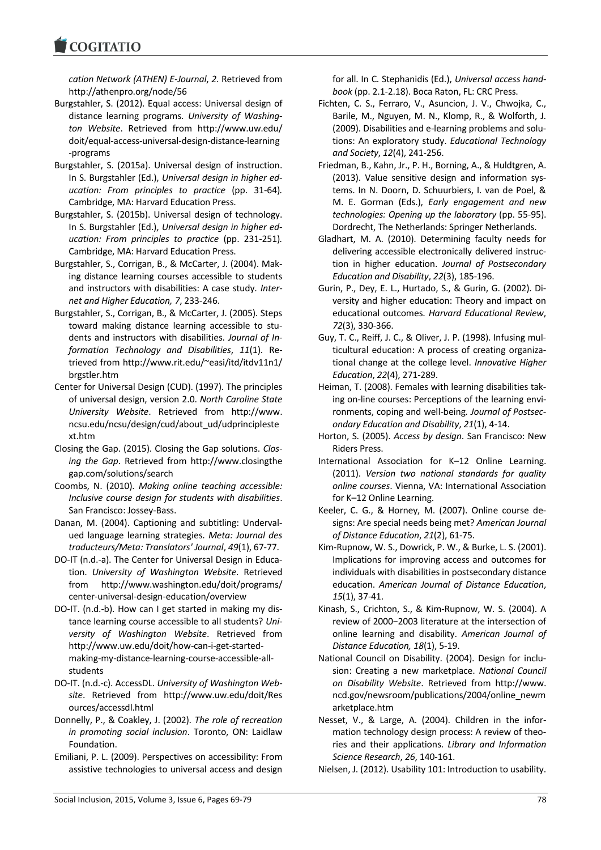**COGITATIO** 

*cation Network (ATHEN) E-Journal*, *2*. Retrieved from http://athenpro.org/node/56

- Burgstahler, S. (2012). Equal access: Universal design of distance learning programs. *University of Washington Website*. Retrieved from http://www.uw.edu/ doit/equal-access-universal-design-distance-learning -programs
- Burgstahler, S. (2015a). Universal design of instruction. In S. Burgstahler (Ed.), *Universal design in higher education: From principles to practice* (pp. 31-64)*.*  Cambridge, MA: Harvard Education Press.
- Burgstahler, S. (2015b). Universal design of technology. In S. Burgstahler (Ed.), *Universal design in higher education: From principles to practice* (pp. 231-251)*.*  Cambridge, MA: Harvard Education Press.
- Burgstahler, S., Corrigan, B., & McCarter, J. (2004). Making distance learning courses accessible to students and instructors with disabilities: A case study. *Internet and Higher Education, 7*, 233-246.
- Burgstahler, S., Corrigan, B., & McCarter, J. (2005). Steps toward making distance learning accessible to students and instructors with disabilities. *Journal of Information Technology and Disabilities*, *11*(1). Retrieved from http://www.rit.edu/~easi/itd/itdv11n1/ brgstler.htm
- Center for Universal Design (CUD). (1997). The principles of universal design, version 2.0. *North Caroline State University Website*. Retrieved from http://www. ncsu.edu/ncsu/design/cud/about\_ud/udprincipleste xt.htm
- Closing the Gap. (2015). Closing the Gap solutions. *Closing the Gap*. Retrieved from http://www.closingthe gap.com/solutions/search
- Coombs, N. (2010). *Making online teaching accessible: Inclusive course design for students with disabilities*. San Francisco: Jossey-Bass.
- Danan, M. (2004). Captioning and subtitling: Undervalued language learning strategies. *Meta: Journal des traducteurs/Meta: Translators' Journal*, *49*(1), 67-77.
- DO-IT (n.d.-a). The Center for Universal Design in Education. *University of Washington Website*. Retrieved from http://www.washington.edu/doit/programs/ center-universal-design-education/overview
- DO-IT. (n.d.-b). How can I get started in making my distance learning course accessible to all students? *University of Washington Website*. Retrieved from http://www.uw.edu/doit/how-can-i-get-startedmaking-my-distance-learning-course-accessible-allstudents
- DO-IT. (n.d.-c). AccessDL. *University of Washington Website*. Retrieved from http://www.uw.edu/doit/Res ources/accessdl.html
- Donnelly, P., & Coakley, J. (2002). *The role of recreation in promoting social inclusion*. Toronto, ON: Laidlaw Foundation.
- Emiliani, P. L. (2009). Perspectives on accessibility: From assistive technologies to universal access and design

for all. In C. Stephanidis (Ed.), *Universal access handbook* (pp. 2.1-2.18). Boca Raton, FL: CRC Press.

- Fichten, C. S., Ferraro, V., Asuncion, J. V., Chwojka, C., Barile, M., Nguyen, M. N., Klomp, R., & Wolforth, J. (2009). Disabilities and e-learning problems and solutions: An exploratory study. *Educational Technology and Society*, *12*(4), 241-256.
- Friedman, B., Kahn, Jr., P. H., Borning, A., & Huldtgren, A. (2013). Value sensitive design and information systems. In N. Doorn, D. Schuurbiers, I. van de Poel, & M. E. Gorman (Eds.), *Early engagement and new technologies: Opening up the laboratory* (pp. 55-95). Dordrecht, The Netherlands: Springer Netherlands.
- Gladhart, M. A. (2010). Determining faculty needs for delivering accessible electronically delivered instruction in higher education. *Journal of Postsecondary Education and Disability*, *22*(3), 185-196.
- Gurin, P., Dey, E. L., Hurtado, S., & Gurin, G. (2002). Diversity and higher education: Theory and impact on educational outcomes. *Harvard Educational Review*, *72*(3), 330-366.
- Guy, T. C., Reiff, J. C., & Oliver, J. P. (1998). Infusing multicultural education: A process of creating organizational change at the college level. *Innovative Higher Education*, *22*(4), 271-289.
- Heiman, T. (2008). Females with learning disabilities taking on-line courses: Perceptions of the learning environments, coping and well-being*. Journal of Postsecondary Education and Disability*, *21*(1), 4-14.
- Horton, S. (2005). *Access by design*. San Francisco: New Riders Press.
- International Association for K–12 Online Learning. (2011). *Version two national standards for quality online courses*. Vienna, VA: International Association for K–12 Online Learning.
- Keeler, C. G., & Horney, M. (2007). Online course designs: Are special needs being met? *American Journal of Distance Education*, *21*(2), 61-75.
- Kim-Rupnow, W. S., Dowrick, P. W., & Burke, L. S. (2001). Implications for improving access and outcomes for individuals with disabilities in postsecondary distance education. *American Journal of Distance Education*, *15*(1), 37-41.
- Kinash, S., Crichton, S., & Kim-Rupnow, W. S. (2004). A review of 2000−2003 literature at the intersection of online learning and disability. *American Journal of Distance Education, 18*(1), 5-19.
- National Council on Disability. (2004). Design for inclusion: Creating a new marketplace. *National Council on Disability Website*. Retrieved from http://www. ncd.gov/newsroom/publications/2004/online\_newm arketplace.htm
- Nesset, V., & Large, A. (2004). Children in the information technology design process: A review of theories and their applications. *Library and Information Science Research*, *26*, 140-161.
- Nielsen, J. (2012). Usability 101: Introduction to usability.